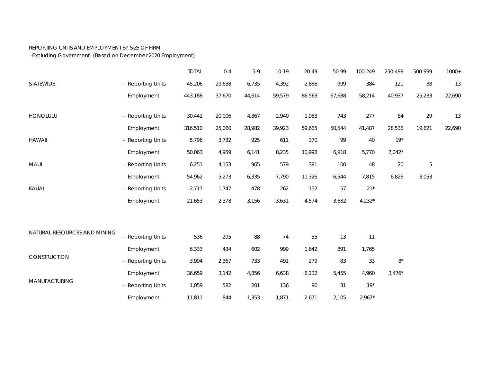## REPORTING UNITS AND EMPLOYMENT BY SIZE OF FIRM

-Excluding Government- (Based on December 2020 Employment)

|                              |                   | <b>TOTAL</b> | $0 - 4$ | $5-9$  | $10-19$ | 20-49  | 50-99  | 100-249  | 250-499  | 500-999 | $1000+$ |
|------------------------------|-------------------|--------------|---------|--------|---------|--------|--------|----------|----------|---------|---------|
| STATEWIDE                    | - Reporting Units | 45,206       | 29,638  | 6,735  | 4,392   | 2,886  | 999    | 384      | 121      | 38      | 13      |
|                              | Employment        | 443,188      | 37,670  | 44,614 | 59,579  | 86,563 | 67,688 | 58,214   | 40,937   | 25,233  | 22,690  |
| HONOLULU                     | - Reporting Units | 30,442       | 20,006  | 4,367  | 2,940   | 1,983  | 743    | 277      | 84       | 29      | 13      |
|                              | Employment        | 316,510      | 25,060  | 28,982 | 39,923  | 59,665 | 50,544 | 41,487   | 28,538   | 19,621  | 22,690  |
| <b>HAWAII</b>                | - Reporting Units | 5,796        | 3,732   | 925    | 611     | 370    | 99     | 40       | $19*$    |         |         |
|                              | Employment        | 50,063       | 4,959   | 6,141  | 8,235   | 10,998 | 6,918  | 5,770    | $7,042*$ |         |         |
| MAUI                         | - Reporting Units | 6,251        | 4,153   | 965    | 579     | 381    | 100    | 48       | 20       | 5       |         |
|                              | Employment        | 54,962       | 5,273   | 6,335  | 7,790   | 11,326 | 6,544  | 7,815    | 6,826    | 3,053   |         |
| KAUAI                        | - Reporting Units | 2,717        | 1,747   | 478    | 262     | 152    | 57     | $21*$    |          |         |         |
|                              | Employment        | 21,653       | 2,378   | 3,156  | 3,631   | 4,574  | 3,682  | $4,232*$ |          |         |         |
|                              |                   |              |         |        |         |        |        |          |          |         |         |
| NATURAL RESOURCES AND MINING | - Reporting Units | 536          | 295     | 88     | 74      | 55     | 13     | 11       |          |         |         |
|                              | Employment        | 6,333        | 434     | 602    | 999     | 1,642  | 891    | 1,765    |          |         |         |
| CONSTRUCTION                 | - Reporting Units | 3,994        | 2,367   | 733    | 491     | 279    | 83     | 33       | $8*$     |         |         |
| <b>MANUFACTURING</b>         | Employment        | 36,659       | 3,142   | 4,856  | 6,638   | 8,132  | 5,455  | 4,960    | $3,476*$ |         |         |
|                              | - Reporting Units | 1,059        | 582     | 201    | 136     | 90     | 31     | $19*$    |          |         |         |
|                              | Employment        | 11,811       | 844     | 1,353  | 1,871   | 2,671  | 2,105  | $2,967*$ |          |         |         |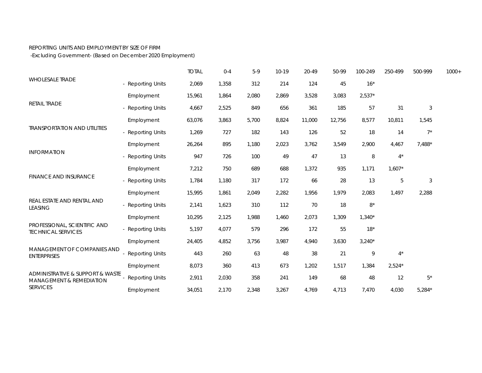## REPORTING UNITS AND EMPLOYMENT BY SIZE OF FIRM

-Excluding Government- (Based on December 2020 Employment)

| <b>WHOLESALE TRADE</b>                                                                                    |                        | <b>TOTAL</b> | $0 - 4$ | $5-9$ | $10 - 19$ | 20-49  | 50-99  | 100-249     | 250-499  | 500-999     | $1000+$ |
|-----------------------------------------------------------------------------------------------------------|------------------------|--------------|---------|-------|-----------|--------|--------|-------------|----------|-------------|---------|
|                                                                                                           | - Reporting Units      | 2,069        | 1,358   | 312   | 214       | 124    | 45     | $16*$       |          |             |         |
| RETAIL TRADE                                                                                              | Employment             | 15,961       | 1,864   | 2,080 | 2,869     | 3,528  | 3,083  | $2,537*$    |          |             |         |
|                                                                                                           | - Reporting Units      | 4,667        | 2,525   | 849   | 656       | 361    | 185    | 57          | 31       | 3           |         |
| <b>TRANSPORTATION AND UTILITIES</b>                                                                       | Employment             | 63,076       | 3,863   | 5,700 | 8,824     | 11,000 | 12,756 | 8,577       | 10,811   | 1,545       |         |
|                                                                                                           | - Reporting Units      | 1,269        | 727     | 182   | 143       | 126    | 52     | 18          | 14       | $7^*$       |         |
|                                                                                                           | Employment             | 26,264       | 895     | 1,180 | 2,023     | 3,762  | 3,549  | 2,900       | 4,467    | $7,488*$    |         |
| <b>INFORMATION</b>                                                                                        | - Reporting Units      | 947          | 726     | 100   | 49        | 47     | 13     | 8           | $4^*$    |             |         |
| FINANCE AND INSURANCE                                                                                     | Employment             | 7,212        | 750     | 689   | 688       | 1,372  | 935    | 1,171       | $1,607*$ |             |         |
|                                                                                                           | - Reporting Units      | 1,784        | 1,180   | 317   | 172       | 66     | 28     | 13          | 5        | $\sqrt{3}$  |         |
| REAL ESTATE AND RENTAL AND<br><b>LEASING</b><br>PROFESSIONAL, SCIENTIFIC AND<br><b>TECHNICAL SERVICES</b> | Employment             | 15,995       | 1,861   | 2,049 | 2,282     | 1,956  | 1,979  | 2,083       | 1,497    | 2,288       |         |
|                                                                                                           | - Reporting Units      | 2,141        | 1,623   | 310   | 112       | 70     | 18     | $8^{\star}$ |          |             |         |
|                                                                                                           | Employment             | 10,295       | 2,125   | 1,988 | 1,460     | 2,073  | 1,309  | $1,340*$    |          |             |         |
|                                                                                                           | - Reporting Units      | 5,197        | 4,077   | 579   | 296       | 172    | 55     | $18*$       |          |             |         |
|                                                                                                           | Employment             | 24,405       | 4,852   | 3,756 | 3,987     | 4,940  | 3,630  | $3,240*$    |          |             |         |
| <b>MANAGEMENT OF COMPANIES AND</b><br><b>ENTERPRISES</b>                                                  | - Reporting Units      | 443          | 260     | 63    | 48        | 38     | 21     | 9           | $4^*$    |             |         |
| ADMINISTRATIVE & SUPPORT & WASTE<br><b>MANAGEMENT &amp; REMEDIATION</b><br><b>SERVICES</b>                | Employment             | 8,073        | 360     | 413   | 673       | 1,202  | 1,517  | 1,384       | $2,524*$ |             |         |
|                                                                                                           | <b>Reporting Units</b> | 2,911        | 2,030   | 358   | 241       | 149    | 68     | 48          | 12       | $5^{\star}$ |         |
|                                                                                                           | Employment             | 34,051       | 2,170   | 2,348 | 3,267     | 4,769  | 4,713  | 7,470       | 4,030    | $5,284*$    |         |